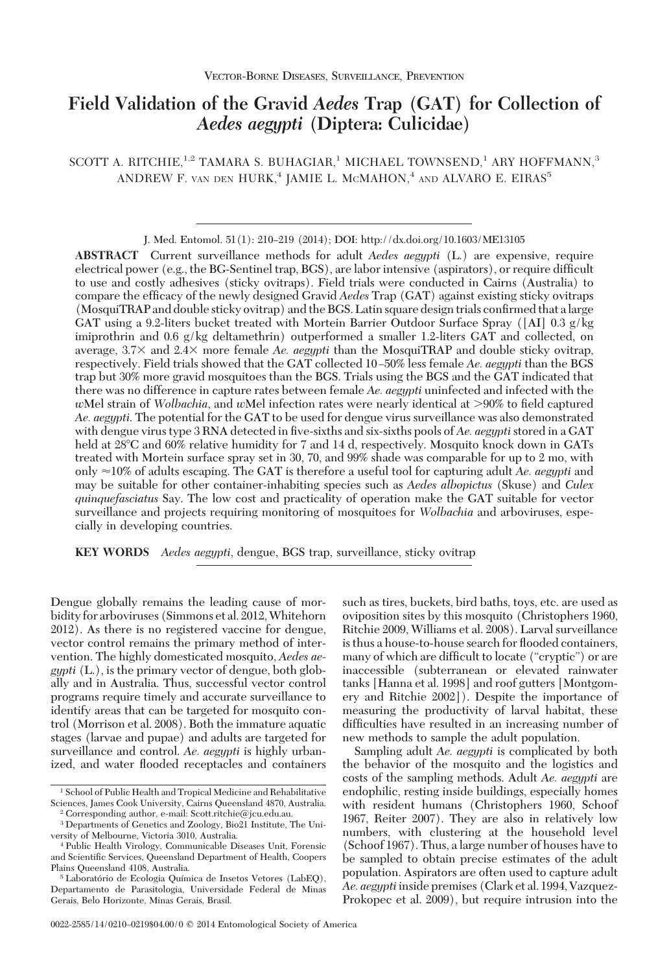# **Field Validation of the Gravid** *Aedes* **Trap (GAT) for Collection of** *Aedes aegypti* **(Diptera: Culicidae)**

SCOTT A. RITCHIE,<sup>1,2</sup> TAMARA S. BUHAGIAR,<sup>1</sup> MICHAEL TOWNSEND,<sup>1</sup> ARY HOFFMANN,<sup>3</sup> ANDREW F. VAN DEN HURK,<sup>4</sup> JAMIE L. MCMAHON,<sup>4</sup> AND ALVARO E. EIRAS<sup>5</sup>

J. Med. Entomol. 51(1): 210–219 (2014); DOI: http://dx.doi.org/10.1603/ME13105

**ABSTRACT** Current surveillance methods for adult *Aedes aegypti* (L.) are expensive, require electrical power (e.g., the BG-Sentinel trap, BGS), are labor intensive (aspirators), or require difficult to use and costly adhesives (sticky ovitraps). Field trials were conducted in Cairns (Australia) to compare the efficacy of the newly designed Gravid *Aedes* Trap (GAT) against existing sticky ovitraps (MosquiTRAP and double sticky ovitrap) and the BGS. Latin square design trials confirmed that a large GAT using a 9.2-liters bucket treated with Mortein Barrier Outdoor Surface Spray ([AI] 0.3 g/kg imiprothrin and 0.6 g/kg deltamethrin) outperformed a smaller 1.2-liters GAT and collected, on average, 3.7× and 2.4× more female *Ae. aegypti* than the MosquiTRAP and double sticky ovitrap, respectively. Field trials showed that the GAT collected 10 Ð50% less female *Ae. aegypti* than the BGS trap but 30% more gravid mosquitoes than the BGS. Trials using the BGS and the GAT indicated that there was no difference in capture rates between female *Ae. aegypti* uninfected and infected with the *wMel strain of <i>Wolbachia*, and *wMel infection rates were nearly identical at >90% to field captured Ae. aegypti*. The potential for the GAT to be used for dengue virus surveillance was also demonstrated with dengue virus type 3 RNA detected in five-sixths and six-sixths pools of *Ae. aegypti* stored in a GAT held at 28°C and 60% relative humidity for 7 and 14 d, respectively. Mosquito knock down in GATs treated with Mortein surface spray set in 30, 70, and 99% shade was comparable for up to 2 mo, with only 10% of adults escaping. The GAT is therefore a useful tool for capturing adult *Ae. aegypti* and may be suitable for other container-inhabiting species such as *Aedes albopictus* (Skuse) and *Culex quinquefasciatus* Say. The low cost and practicality of operation make the GAT suitable for vector surveillance and projects requiring monitoring of mosquitoes for *Wolbachia* and arboviruses, especially in developing countries.

**KEY WORDS** *Aedes aegypti*, dengue, BGS trap, surveillance, sticky ovitrap

Dengue globally remains the leading cause of morbidity for arboviruses (Simmons et al. 2012,Whitehorn 2012). As there is no registered vaccine for dengue, vector control remains the primary method of intervention. The highly domesticated mosquito, *Aedes aegypti* (L.), is the primary vector of dengue, both globally and in Australia. Thus, successful vector control programs require timely and accurate surveillance to identify areas that can be targeted for mosquito control (Morrison et al. 2008). Both the immature aquatic stages (larvae and pupae) and adults are targeted for surveillance and control. *Ae. aegypti* is highly urbanized, and water ßooded receptacles and containers

oviposition sites by this mosquito (Christophers 1960, Ritchie 2009, Williams et al. 2008). Larval surveillance is thus a house-to-house search for flooded containers, many of which are difficult to locate ("cryptic") or are inaccessible (subterranean or elevated rainwater tanks [Hanna et al. 1998] and roof gutters [Montgomery and Ritchie 2002]). Despite the importance of measuring the productivity of larval habitat, these difficulties have resulted in an increasing number of new methods to sample the adult population.

such as tires, buckets, bird baths, toys, etc. are used as

Sampling adult *Ae. aegypti* is complicated by both the behavior of the mosquito and the logistics and costs of the sampling methods. Adult *Ae. aegypti* are endophilic, resting inside buildings, especially homes with resident humans (Christophers 1960, Schoof 1967, Reiter 2007). They are also in relatively low numbers, with clustering at the household level (Schoof 1967). Thus, a large number of houses have to be sampled to obtain precise estimates of the adult population. Aspirators are often used to capture adult *Ae. aegypti*inside premises (Clark et al. 1994, Vazquez-Prokopec et al. 2009), but require intrusion into the

<sup>1</sup> School of Public Health and Tropical Medicine and Rehabilitative Sciences, James Cook University, Cairns Queensland 4870, Australia.

<sup>2</sup> Corresponding author, e-mail: Scott.ritchie@jcu.edu.au.

<sup>3</sup> Departments of Genetics and Zoology, Bio21 Institute, The University of Melbourne, Victoria 3010, Australia.

<sup>4</sup> Public Health Virology, Communicable Diseases Unit, Forensic and Scientific Services, Queensland Department of Health, Coopers Plains Queensland 4108, Australia.

<sup>&</sup>lt;sup>5</sup> Laboratório de Ecologia Química de Insetos Vetores (LabEQ), Departamento de Parasitologia, Universidade Federal de Minas Gerais, Belo Horizonte, Minas Gerais, Brasil.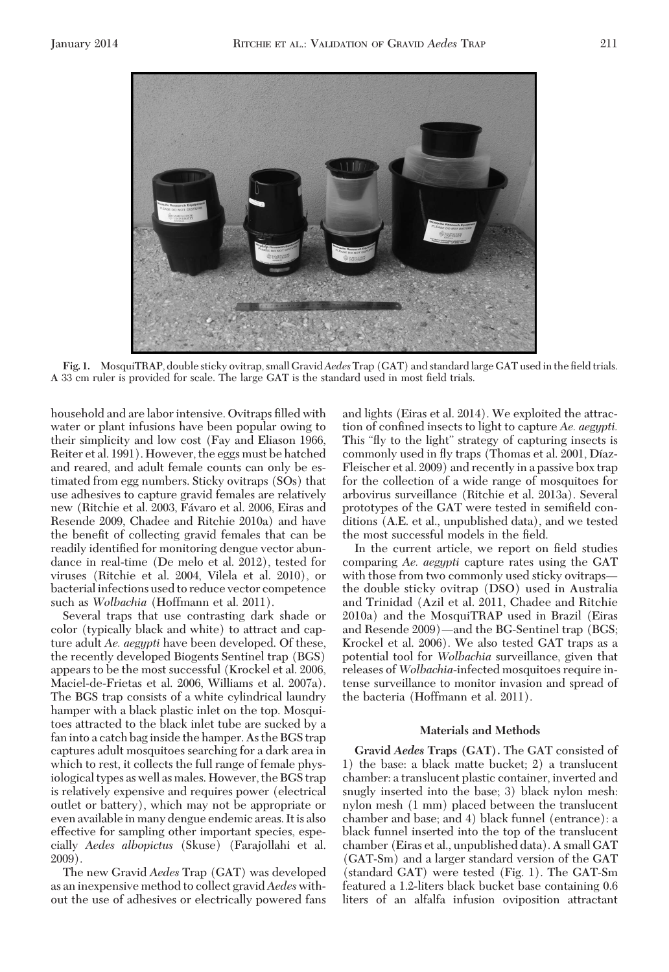

Fig. 1. MosquiTRAP, double sticky ovitrap, small Gravid Aedes Trap (GAT) and standard large GAT used in the field trials. A 33 cm ruler is provided for scale. The large GAT is the standard used in most field trials.

household and are labor intensive. Ovitraps filled with water or plant infusions have been popular owing to their simplicity and low cost (Fay and Eliason 1966, Reiter et al. 1991). However, the eggs must be hatched and reared, and adult female counts can only be estimated from egg numbers. Sticky ovitraps (SOs) that use adhesives to capture gravid females are relatively new (Ritchie et al. 2003, Fávaro et al. 2006, Eiras and Resende 2009, Chadee and Ritchie 2010a) and have the benefit of collecting gravid females that can be readily identified for monitoring dengue vector abundance in real-time (De melo et al. 2012), tested for viruses (Ritchie et al. 2004, Vilela et al. 2010), or bacterial infections used to reduce vector competence such as *Wolbachia* (Hoffmann et al. 2011).

Several traps that use contrasting dark shade or color (typically black and white) to attract and capture adult *Ae. aegypti* have been developed. Of these, the recently developed Biogents Sentinel trap (BGS) appears to be the most successful (Krockel et al. 2006, Maciel-de-Frietas et al. 2006, Williams et al. 2007a). The BGS trap consists of a white cylindrical laundry hamper with a black plastic inlet on the top. Mosquitoes attracted to the black inlet tube are sucked by a fan into a catch bag inside the hamper. As the BGS trap captures adult mosquitoes searching for a dark area in which to rest, it collects the full range of female physiological types as well as males. However, the BGS trap is relatively expensive and requires power (electrical outlet or battery), which may not be appropriate or even available in many dengue endemic areas. It is also effective for sampling other important species, especially *Aedes albopictus* (Skuse) (Farajollahi et al. 2009).

The new Gravid *Aedes* Trap (GAT) was developed as an inexpensive method to collect gravid*Aedes* without the use of adhesives or electrically powered fans and lights (Eiras et al. 2014). We exploited the attraction of confined insects to light to capture *Ae. aegypti.* This "ßy to the light" strategy of capturing insects is commonly used in fly traps (Thomas et al. 2001, Díaz-Fleischer et al. 2009) and recently in a passive box trap for the collection of a wide range of mosquitoes for arbovirus surveillance (Ritchie et al. 2013a). Several prototypes of the GAT were tested in semifield conditions (A.E. et al., unpublished data), and we tested the most successful models in the field.

In the current article, we report on field studies comparing *Ae. aegypti* capture rates using the GAT with those from two commonly used sticky ovitraps the double sticky ovitrap (DSO) used in Australia and Trinidad (Azil et al. 2011, Chadee and Ritchie 2010a) and the MosquiTRAP used in Brazil (Eiras and Resende 2009)—and the BG-Sentinel trap (BGS; Krockel et al. 2006). We also tested GAT traps as a potential tool for *Wolbachia* surveillance, given that releases of *Wolbachia*-infected mosquitoes require intense surveillance to monitor invasion and spread of the bacteria (Hoffmann et al. 2011).

## **Materials and Methods**

**Gravid** *Aedes* **Traps (GAT).** The GAT consisted of 1) the base: a black matte bucket; 2) a translucent chamber: a translucent plastic container, inverted and snugly inserted into the base; 3) black nylon mesh: nylon mesh (1 mm) placed between the translucent chamber and base; and 4) black funnel (entrance): a black funnel inserted into the top of the translucent chamber (Eiras et al., unpublished data). A small GAT (GAT-Sm) and a larger standard version of the GAT (standard GAT) were tested (Fig. 1). The GAT-Sm featured a 1.2-liters black bucket base containing 0.6 liters of an alfalfa infusion oviposition attractant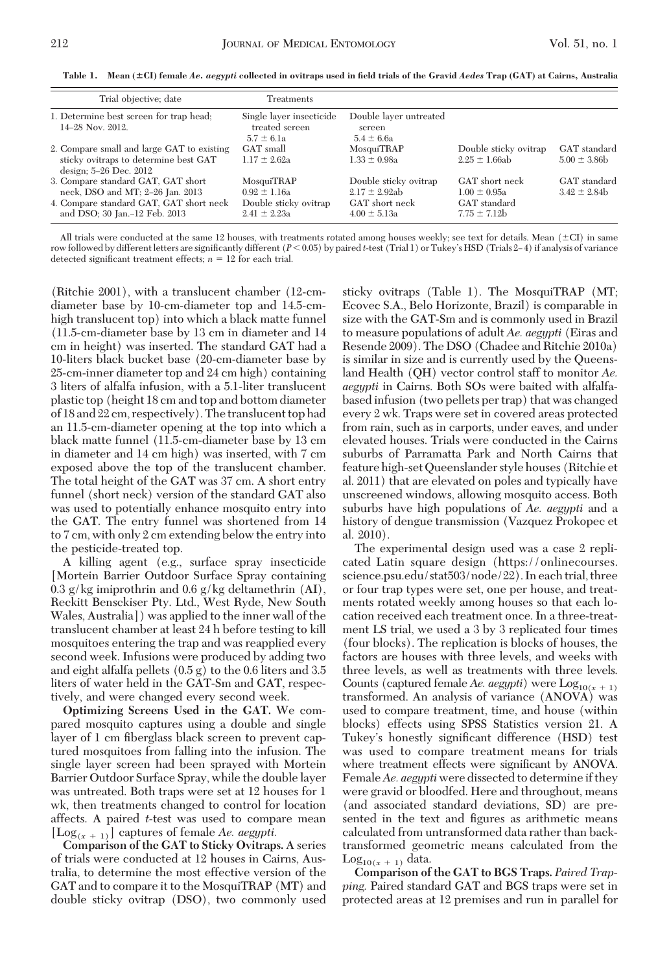Trial objective; date Treatments 1. Determine best screen for trap head; 14Ð28 Nov. 2012. Single layer insecticide treated screen Double layer untreated screen  $5.7 \pm 6.1a$ <br>
GAT small<br>  $6.4 \pm 6.6a$ <br>  $6.4 \pm 6.6a$ <br>  $6.5.4 \pm 6.6a$ 2. Compare small and large GAT to existing sticky ovitraps to determine best GAT design; 5-26 Dec. 2012 MosquiTRAP Double sticky ovitrap GAT standard<br>  $1.33 + 0.98a$   $2.95 + 1.66ab$   $5.00 + 3.86b$  $1.17 \pm 2.62a$ 3. Compare standard GAT, GAT short neck, DSO and MT; 2-26 Jan. 2013 MosquiTRAP Double sticky ovitrap  $GAT$  short neck  $GAT$  standard  $0.92 + 1.16a$   $2.17 + 2.92ab$   $1.00 + 0.95a$   $3.42 + 2.84b$  $2.17 \pm 2.92ab$   $1.00 \pm 0.95a$ <br>GAT short neck GAT standard 4. Compare standard GAT, GAT short neck and DSO; 30 Jan.-12 Feb. 2013 Double sticky ovitrap  $2.41 \pm 2.23$ a  $4.00 \pm 5.13a$   $7.75 \pm 7.12b$ 

**Table 1. Mean (**-**CI) female** *Ae. aegypti* **collected in ovitraps used in field trials of the Gravid** *Aedes* **Trap (GAT) at Cairns, Australia**

All trials were conducted at the same 12 houses, with treatments rotated among houses weekly; see text for details. Mean  $(\pm C I)$  in same row followed by different letters are significantly different ( $P < 0.05$ ) by paired *t*-test (Trial 1) or Tukey's HSD (Trials 2–4) if analysis of variance detected significant treatment effects;  $n = 12$  for each trial.

(Ritchie 2001), with a translucent chamber (12-cmdiameter base by 10-cm-diameter top and 14.5-cmhigh translucent top) into which a black matte funnel (11.5-cm-diameter base by 13 cm in diameter and 14 cm in height) was inserted. The standard GAT had a 10-liters black bucket base (20-cm-diameter base by 25-cm-inner diameter top and 24 cm high) containing 3 liters of alfalfa infusion, with a 5.1-liter translucent plastic top (height 18 cm and top and bottom diameter of 18 and 22 cm, respectively). The translucent top had an 11.5-cm-diameter opening at the top into which a black matte funnel (11.5-cm-diameter base by 13 cm in diameter and 14 cm high) was inserted, with 7 cm exposed above the top of the translucent chamber. The total height of the GAT was 37 cm. A short entry funnel (short neck) version of the standard GAT also was used to potentially enhance mosquito entry into the GAT. The entry funnel was shortened from 14 to 7 cm, with only 2 cm extending below the entry into the pesticide-treated top.

A killing agent (e.g., surface spray insecticide [Mortein Barrier Outdoor Surface Spray containing 0.3 g/kg imiprothrin and 0.6 g/kg deltamethrin (AI), Reckitt Bensckiser Pty. Ltd., West Ryde, New South Wales, Australia]) was applied to the inner wall of the translucent chamber at least 24 h before testing to kill mosquitoes entering the trap and was reapplied every second week. Infusions were produced by adding two and eight alfalfa pellets (0.5 g) to the 0.6 liters and 3.5 liters of water held in the GAT-Sm and GAT, respectively, and were changed every second week.

**Optimizing Screens Used in the GAT.** We compared mosquito captures using a double and single layer of 1 cm fiberglass black screen to prevent captured mosquitoes from falling into the infusion. The single layer screen had been sprayed with Mortein Barrier Outdoor Surface Spray, while the double layer was untreated. Both traps were set at 12 houses for 1 wk, then treatments changed to control for location affects. A paired *t*-test was used to compare mean [ $\text{Log}_{(x + 1)}$ ] captures of female *Ae. aegypti.* 

**Comparison of the GAT to Sticky Ovitraps.** A series of trials were conducted at 12 houses in Cairns, Australia, to determine the most effective version of the GAT and to compare it to the MosquiTRAP (MT) and double sticky ovitrap (DSO), two commonly used

sticky ovitraps (Table 1). The MosquiTRAP (MT; Ecovec S.A., Belo Horizonte, Brazil) is comparable in size with the GAT-Sm and is commonly used in Brazil to measure populations of adult *Ae. aegypti* (Eiras and Resende 2009). The DSO (Chadee and Ritchie 2010a) is similar in size and is currently used by the Queensland Health (QH) vector control staff to monitor *Ae. aegypti* in Cairns. Both SOs were baited with alfalfabased infusion (two pellets per trap) that was changed every 2 wk. Traps were set in covered areas protected from rain, such as in carports, under eaves, and under elevated houses. Trials were conducted in the Cairns suburbs of Parramatta Park and North Cairns that feature high-set Queenslander style houses (Ritchie et al. 2011) that are elevated on poles and typically have unscreened windows, allowing mosquito access. Both suburbs have high populations of *Ae. aegypti* and a history of dengue transmission (Vazquez Prokopec et al. 2010).

The experimental design used was a case 2 replicated Latin square design (https://onlinecourses. science.psu.edu/stat503/node/22). In each trial, three or four trap types were set, one per house, and treatments rotated weekly among houses so that each location received each treatment once. In a three-treatment LS trial, we used a 3 by 3 replicated four times (four blocks). The replication is blocks of houses, the factors are houses with three levels, and weeks with three levels, as well as treatments with three levels. Counts (captured female *Ae. aegypti*) were  $Log_{10(x + 1)}$ transformed. An analysis of variance (ANOVA) was used to compare treatment, time, and house (within blocks) effects using SPSS Statistics version 21. A Tukey's honestly significant difference (HSD) test was used to compare treatment means for trials where treatment effects were significant by ANOVA. Female*Ae. aegypti* were dissected to determine if they were gravid or bloodfed. Here and throughout, means (and associated standard deviations, SD) are presented in the text and figures as arithmetic means calculated from untransformed data rather than backtransformed geometric means calculated from the  $Log<sub>10(x + 1)</sub> data.$ 

**Comparison of the GAT to BGS Traps.** *Paired Trapping.* Paired standard GAT and BGS traps were set in protected areas at 12 premises and run in parallel for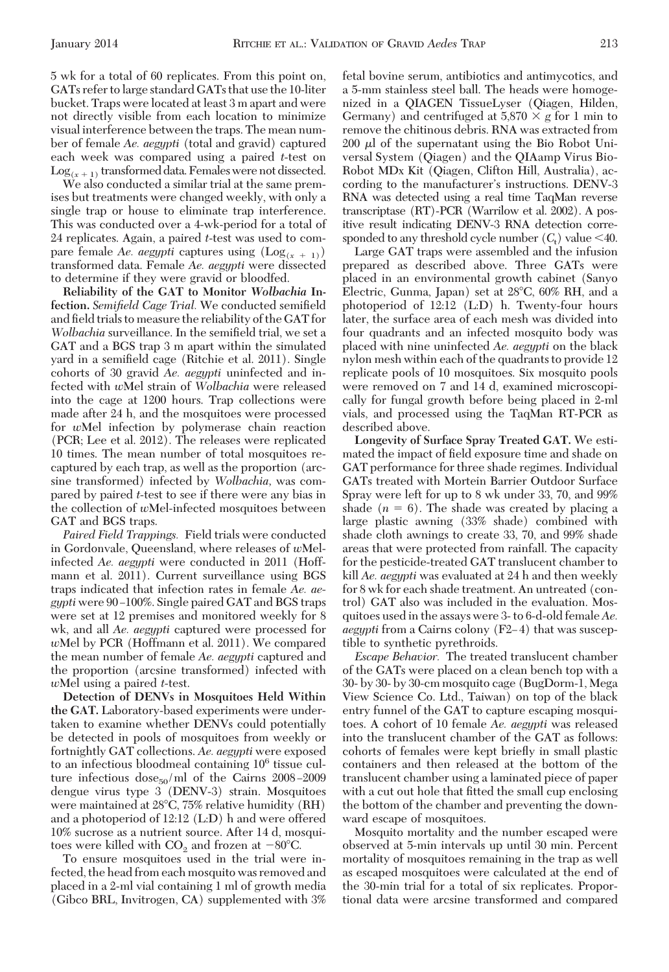5 wk for a total of 60 replicates. From this point on, GATs refer to large standard GATs that use the 10-liter bucket. Traps were located at least 3 m apart and were not directly visible from each location to minimize visual interference between the traps. The mean number of female *Ae. aegypti* (total and gravid) captured each week was compared using a paired *t*-test on  $Log_{(x+1)}$  transformed data. Females were not dissected.

We also conducted a similar trial at the same premises but treatments were changed weekly, with only a single trap or house to eliminate trap interference. This was conducted over a 4-wk-period for a total of 24 replicates. Again, a paired *t*-test was used to compare female *Ae. aegypti* captures using  $(Log_{(x + 1)})$ transformed data. Female *Ae. aegypti* were dissected to determine if they were gravid or bloodfed.

**Reliability of the GAT to Monitor** *Wolbachia* **In**fection. *Semifield Cage Trial*. We conducted semifield and field trials to measure the reliability of the GAT for *Wolbachia* surveillance. In the semifield trial, we set a GAT and a BGS trap 3 m apart within the simulated yard in a semifield cage (Ritchie et al. 2011). Single cohorts of 30 gravid *Ae. aegypti* uninfected and infected with *w*Mel strain of *Wolbachia* were released into the cage at 1200 hours. Trap collections were made after 24 h, and the mosquitoes were processed for *w*Mel infection by polymerase chain reaction (PCR; Lee et al. 2012). The releases were replicated 10 times. The mean number of total mosquitoes recaptured by each trap, as well as the proportion (arcsine transformed) infected by *Wolbachia,* was compared by paired *t*-test to see if there were any bias in the collection of *w*Mel-infected mosquitoes between GAT and BGS traps.

*Paired Field Trappings.* Field trials were conducted in Gordonvale, Queensland, where releases of *w*Melinfected *Ae. aegypti* were conducted in 2011 (Hoffmann et al. 2011). Current surveillance using BGS traps indicated that infection rates in female *Ae. aegypti* were 90-100%. Single paired GAT and BGS traps were set at 12 premises and monitored weekly for 8 wk, and all *Ae. aegypti* captured were processed for *w*Mel by PCR (Hoffmann et al. 2011). We compared the mean number of female *Ae. aegypti* captured and the proportion (arcsine transformed) infected with *w*Mel using a paired *t*-test.

**Detection of DENVs in Mosquitoes Held Within the GAT.** Laboratory-based experiments were undertaken to examine whether DENVs could potentially be detected in pools of mosquitoes from weekly or fortnightly GAT collections. *Ae. aegypti* were exposed to an infectious bloodmeal containing 106 tissue culture infectious  $\frac{\text{dose}_{50}}{\text{ml}}$  of the Cairns 2008-2009 dengue virus type 3 (DENV-3) strain. Mosquitoes were maintained at 28°C, 75% relative humidity (RH) and a photoperiod of 12:12 (L:D) h and were offered 10% sucrose as a nutrient source. After 14 d, mosquitoes were killed with  $CO_2$  and frozen at  $-80^{\circ}$ C.

To ensure mosquitoes used in the trial were infected, the head from each mosquito was removed and placed in a 2-ml vial containing 1 ml of growth media (Gibco BRL, Invitrogen, CA) supplemented with 3% fetal bovine serum, antibiotics and antimycotics, and a 5-mm stainless steel ball. The heads were homogenized in a QIAGEN TissueLyser (Qiagen, Hilden, Germany) and centrifuged at  $5,870 \times g$  for 1 min to remove the chitinous debris. RNA was extracted from  $200 \mu l$  of the supernatant using the Bio Robot Universal System (Qiagen) and the QIAamp Virus Bio-Robot MDx Kit (Qiagen, Clifton Hill, Australia), according to the manufacturer's instructions. DENV-3 RNA was detected using a real time TaqMan reverse transcriptase (RT)-PCR (Warrilow et al. 2002). A positive result indicating DENV-3 RNA detection corresponded to any threshold cycle number  $(C_t)$  value  $\leq 40$ .

Large GAT traps were assembled and the infusion prepared as described above. Three GATs were placed in an environmental growth cabinet (Sanyo Electric, Gunma, Japan) set at  $28^{\circ}$ C, 60% RH, and a photoperiod of 12:12 (L:D) h. Twenty-four hours later, the surface area of each mesh was divided into four quadrants and an infected mosquito body was placed with nine uninfected *Ae. aegypti* on the black nylon mesh within each of the quadrants to provide 12 replicate pools of 10 mosquitoes. Six mosquito pools were removed on 7 and 14 d, examined microscopically for fungal growth before being placed in 2-ml vials, and processed using the TaqMan RT-PCR as described above.

**Longevity of Surface Spray Treated GAT.** We estimated the impact of field exposure time and shade on GAT performance for three shade regimes. Individual GATs treated with Mortein Barrier Outdoor Surface Spray were left for up to 8 wk under 33, 70, and 99% shade  $(n = 6)$ . The shade was created by placing a large plastic awning (33% shade) combined with shade cloth awnings to create 33, 70, and 99% shade areas that were protected from rainfall. The capacity for the pesticide-treated GAT translucent chamber to kill *Ae. aegypti* was evaluated at 24 h and then weekly for 8 wk for each shade treatment. An untreated (control) GAT also was included in the evaluation. Mosquitoes used in the assays were 3- to 6-d-old female*Ae. aegypti* from a Cairns colony (F2–4) that was susceptible to synthetic pyrethroids.

*Escape Behavior.* The treated translucent chamber of the GATs were placed on a clean bench top with a 30- by 30- by 30-cm mosquito cage (BugDorm-1, Mega View Science Co. Ltd., Taiwan) on top of the black entry funnel of the GAT to capture escaping mosquitoes. A cohort of 10 female *Ae. aegypti* was released into the translucent chamber of the GAT as follows: cohorts of females were kept brießy in small plastic containers and then released at the bottom of the translucent chamber using a laminated piece of paper with a cut out hole that fitted the small cup enclosing the bottom of the chamber and preventing the downward escape of mosquitoes.

Mosquito mortality and the number escaped were observed at 5-min intervals up until 30 min. Percent mortality of mosquitoes remaining in the trap as well as escaped mosquitoes were calculated at the end of the 30-min trial for a total of six replicates. Proportional data were arcsine transformed and compared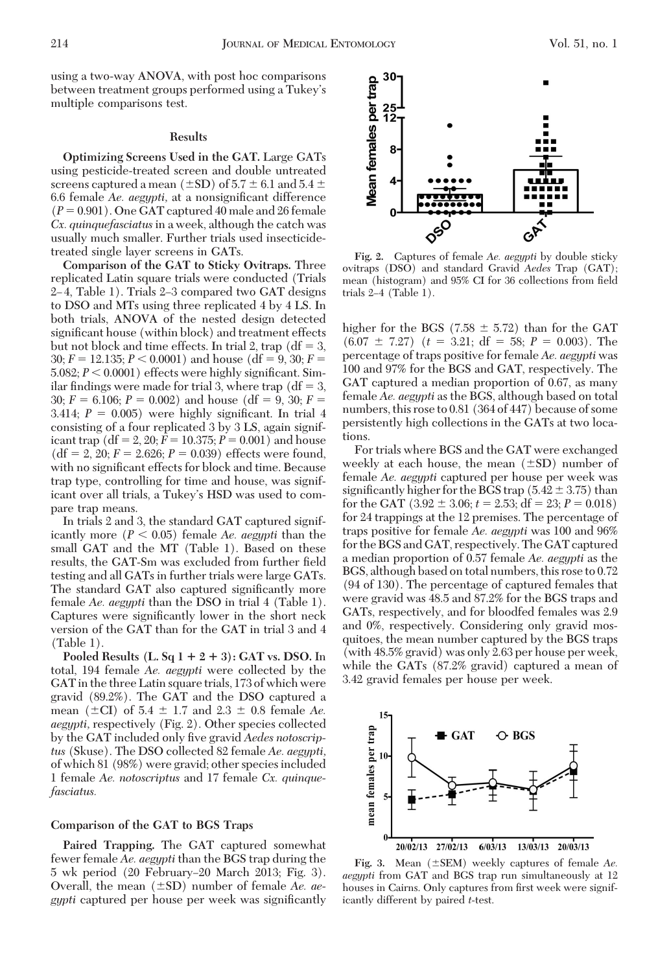multiple comparisons test.

using a two-way ANOVA, with post hoc comparisons between treatment groups performed using a Tukey's

### **Results**

**Optimizing Screens Used in the GAT.** Large GATs using pesticide-treated screen and double untreated screens captured a mean (±SD) of 5.7  $\pm$  6.1 and 5.4  $\pm$ 6.6 female *Ae. aegypti*, at a nonsignificant difference  $(P = 0.901)$ . One GAT captured 40 male and 26 female *Cx. quinquefasciatus*in a week, although the catch was usually much smaller. Further trials used insecticidetreated single layer screens in GATs.

**Comparison of the GAT to Sticky Ovitraps.** Three replicated Latin square trials were conducted (Trials 2–4, Table 1). Trials 2–3 compared two GAT designs to DSO and MTs using three replicated 4 by 4 LS. In both trials, ANOVA of the nested design detected significant house (within block) and treatment effects but not block and time effects. In trial 2, trap ( $df = 3$ ,  $30; F = 12.135; P \leq 0.0001$  and house (df = 9, 30; *F* = 5.082;  $P < 0.0001$ ) effects were highly significant. Similar findings were made for trial 3, where trap ( $df = 3$ , 30;  $F = 6.106$ ;  $P = 0.002$ ) and house (df = 9, 30;  $F =$ 3.414;  $P = 0.005$ ) were highly significant. In trial 4 consisting of a four replicated 3 by 3 LS, again significant trap  $(df = 2, 20; F = 10.375; P = 0.001)$  and house  $(df = 2, 20; F = 2.626; P = 0.039)$  effects were found, with no significant effects for block and time. Because trap type, controlling for time and house, was significant over all trials, a Tukey's HSD was used to compare trap means.

In trials 2 and 3, the standard GAT captured significantly more  $(P < 0.05)$  female *Ae. aegypti* than the small GAT and the MT (Table 1). Based on these results, the GAT-Sm was excluded from further field testing and all GATs in further trials were large GATs. The standard GAT also captured significantly more female *Ae. aegypti* than the DSO in trial 4 (Table 1). Captures were significantly lower in the short neck version of the GAT than for the GAT in trial 3 and 4 (Table 1).

**Pooled Results (L. Sq**  $1 + 2 + 3$ **): GAT vs. DSO.** In total, 194 female *Ae. aegypti* were collected by the GAT in the three Latin square trials, 173 of which were gravid (89.2%). The GAT and the DSO captured a mean  $(\pm \text{CI})$  of 5.4  $\pm$  1.7 and 2.3  $\pm$  0.8 female *Ae*. *aegypti,* respectively (Fig. 2). Other species collected by the GAT included only five gravid *Aedes notoscriptus* (Skuse). The DSO collected 82 female *Ae. aegypti,* of which 81 (98%) were gravid; other species included 1 female *Ae. notoscriptus* and 17 female *Cx. quinquefasciatus.*

# **Comparison of the GAT to BGS Traps**

**Paired Trapping.** The GAT captured somewhat fewer female *Ae. aegypti* than the BGS trap during the 5 wk period (20 February-20 March 2013; Fig. 3). Overall, the mean ( $\pm$ SD) number of female *Ae. aegypti* captured per house per week was significantly



**Fig. 2.** Captures of female *Ae. aegypti* by double sticky ovitraps (DSO) and standard Gravid *Aedes* Trap (GAT); mean (histogram) and 95% CI for 36 collections from field trials  $2-4$  (Table 1).

higher for the BGS (7.58  $\pm$  5.72) than for the GAT  $(6.07 \pm 7.27)$   $(t = 3.21; df = 58; P = 0.003)$ . The percentage of traps positive for female *Ae. aegypti* was 100 and 97% for the BGS and GAT, respectively. The GAT captured a median proportion of 0.67, as many female *Ae. aegypti* as the BGS, although based on total numbers, this rose to 0.81 (364 of 447) because of some persistently high collections in the GATs at two locations.

For trials where BGS and the GAT were exchanged weekly at each house, the mean  $(\pm SD)$  number of female *Ae. aegypti* captured per house per week was significantly higher for the BGS trap ( $5.42 \pm 3.75$ ) than for the GAT  $(3.92 \pm 3.06; t = 2.53; df = 23; P = 0.018)$ for 24 trappings at the 12 premises. The percentage of traps positive for female *Ae. aegypti* was 100 and 96% for the BGS and GAT, respectively. The GAT captured a median proportion of 0.57 female *Ae. aegypti* as the BGS, although based on total numbers, this rose to 0.72 (94 of 130). The percentage of captured females that were gravid was 48.5 and 87.2% for the BGS traps and GATs, respectively, and for bloodfed females was 2.9 and 0%, respectively. Considering only gravid mosquitoes, the mean number captured by the BGS traps (with 48.5% gravid) was only 2.63 per house per week, while the GATs (87.2% gravid) captured a mean of 3.42 gravid females per house per week.



Fig. 3. Mean  $(\pm$ SEM) weekly captures of female *Ae*. *aegypti* from GAT and BGS trap run simultaneously at 12 houses in Cairns. Only captures from first week were significantly different by paired *t*-test.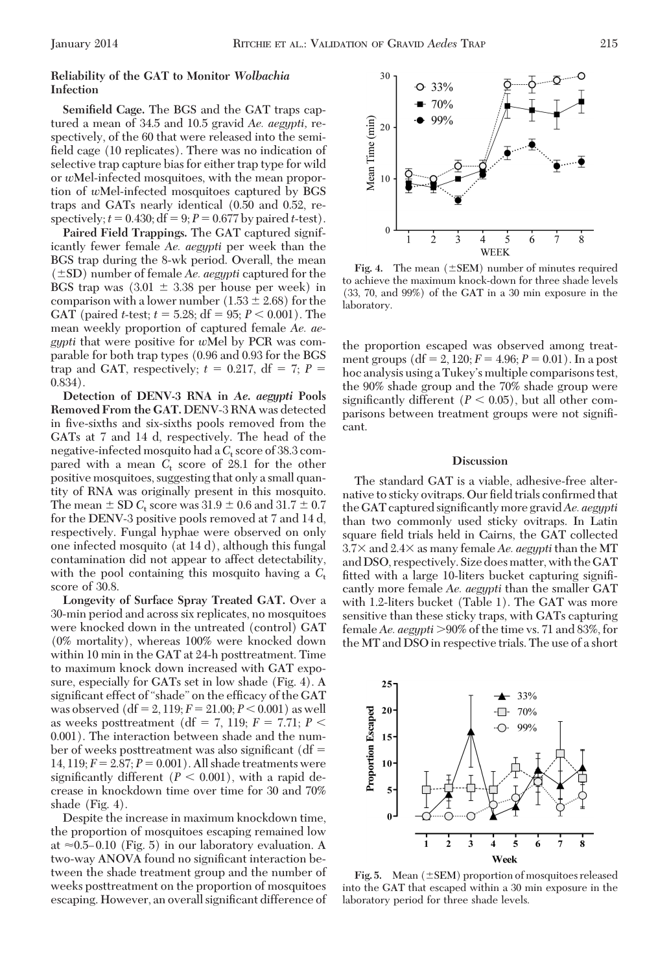# **Reliability of the GAT to Monitor** *Wolbachia* **Infection**

**Semifield Cage.** The BGS and the GAT traps captured a mean of 34.5 and 10.5 gravid *Ae. aegypti,* respectively, of the 60 that were released into the semifield cage (10 replicates). There was no indication of selective trap capture bias for either trap type for wild or *w*Mel-infected mosquitoes, with the mean proportion of *w*Mel-infected mosquitoes captured by BGS traps and GATs nearly identical (0.50 and 0.52, respectively;  $t = 0.430$ ;  $df = 9$ ;  $P = 0.677$  by paired *t*-test).

**Paired Field Trappings.** The GAT captured significantly fewer female *Ae. aegypti* per week than the BGS trap during the 8-wk period. Overall, the mean  $(\pm SD)$  number of female *Ae. aegypti* captured for the BGS trap was  $(3.01 \pm 3.38)$  per house per week) in comparison with a lower number  $(1.53 \pm 2.68)$  for the GAT (paired *t*-test;  $t = 5.28$ ; df = 95;  $P < 0.001$ ). The mean weekly proportion of captured female *Ae. aegypti* that were positive for *w*Mel by PCR was comparable for both trap types (0.96 and 0.93 for the BGS trap and GAT, respectively;  $t = 0.217$ , df = 7;  $P =$ 0.834).

**Detection of DENV-3 RNA in** *Ae. aegypti* **Pools Removed From the GAT.** DENV-3 RNA was detected in five-sixths and six-sixths pools removed from the GATs at 7 and 14 d, respectively. The head of the negative-infected mosquito had a C<sub>t</sub> score of 38.3 compared with a mean  $C_t$  score of 28.1 for the other positive mosquitoes, suggesting that only a small quantity of RNA was originally present in this mosquito. The mean  $\pm$  SD  $C_t$  score was 31.9  $\pm$  0.6 and 31.7  $\pm$  0.7 for the DENV-3 positive pools removed at 7 and 14 d, respectively. Fungal hyphae were observed on only one infected mosquito (at 14 d), although this fungal contamination did not appear to affect detectability, with the pool containing this mosquito having a  $C_t$ score of 30.8.

**Longevity of Surface Spray Treated GAT.** Over a 30-min period and across six replicates, no mosquitoes were knocked down in the untreated (control) GAT (0% mortality), whereas 100% were knocked down within 10 min in the GAT at 24-h posttreatment. Time to maximum knock down increased with GAT exposure, especially for GATs set in low shade (Fig. 4). A significant effect of "shade" on the efficacy of the GAT was observed  $(df = 2, 119; F = 21.00; P < 0.001)$  as well as weeks posttreatment (df = 7, 119;  $F = 7.71$ ;  $P <$ 0.001). The interaction between shade and the number of weeks posttreatment was also significant ( $df =$ 14, 119;  $F = 2.87$ ;  $P = 0.001$ ). All shade treatments were significantly different  $(P < 0.001)$ , with a rapid decrease in knockdown time over time for 30 and 70% shade (Fig. 4).

Despite the increase in maximum knockdown time, the proportion of mosquitoes escaping remained low at  $\approx 0.5-0.10$  (Fig. 5) in our laboratory evaluation. A two-way ANOVA found no significant interaction between the shade treatment group and the number of weeks posttreatment on the proportion of mosquitoes escaping. However, an overall significant difference of



**Fig. 4.** The mean  $(\pm$ SEM) number of minutes required to achieve the maximum knock-down for three shade levels (33, 70, and 99%) of the GAT in a 30 min exposure in the laboratory.

the proportion escaped was observed among treatment groups  $(df = 2, 120; F = 4.96; P = 0.01)$ . In a post hoc analysis using a Tukey's multiple comparisons test, the 90% shade group and the 70% shade group were significantly different  $(P < 0.05)$ , but all other comparisons between treatment groups were not signiÞcant.

## **Discussion**

The standard GAT is a viable, adhesive-free alternative to sticky ovitraps. Our field trials confirmed that the GAT captured significantly more gravid *Ae. aegypti* than two commonly used sticky ovitraps. In Latin square field trials held in Cairns, the GAT collected 3.7× and 2.4× as many female *Ae. aegypti* than the MT and DSO, respectively. Size does matter, with the GAT fitted with a large 10-liters bucket capturing significantly more female *Ae. aegypti* than the smaller GAT with 1.2-liters bucket (Table 1). The GAT was more sensitive than these sticky traps, with GATs capturing female *Ae. aegypti* 90% of the time vs. 71 and 83%, for the MT and DSO in respective trials. The use of a short



**Fig. 5.** Mean  $(\pm$  SEM) proportion of mosquitoes released into the GAT that escaped within a 30 min exposure in the laboratory period for three shade levels.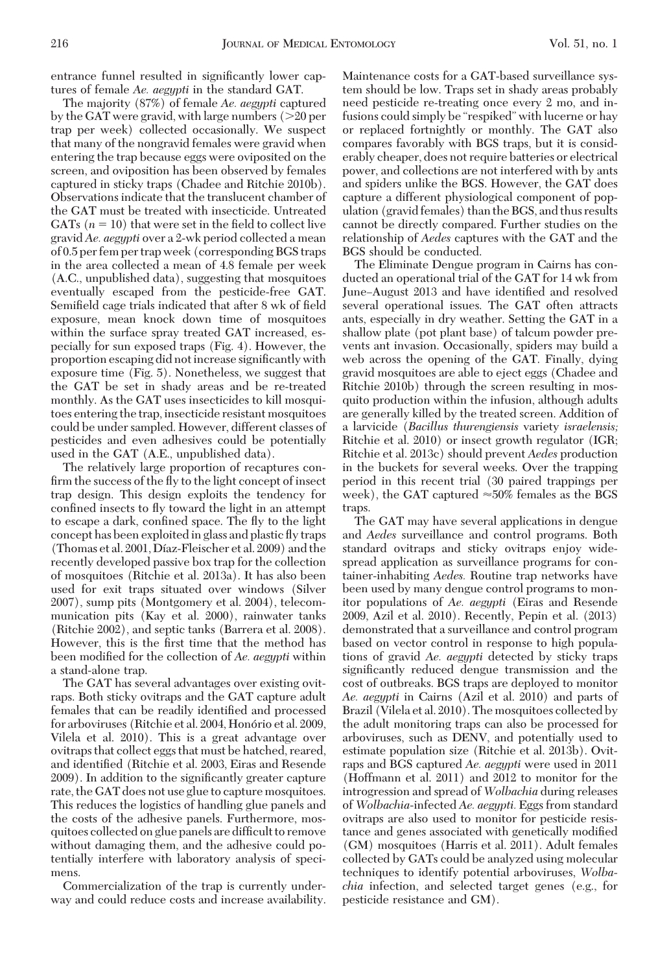entrance funnel resulted in significantly lower captures of female *Ae. aegypti* in the standard GAT.

The majority (87%) of female *Ae. aegypti* captured by the GAT were gravid, with large numbers  $(>20$  per trap per week) collected occasionally. We suspect that many of the nongravid females were gravid when entering the trap because eggs were oviposited on the screen, and oviposition has been observed by females captured in sticky traps (Chadee and Ritchie 2010b). Observations indicate that the translucent chamber of the GAT must be treated with insecticide. Untreated GATs  $(n = 10)$  that were set in the field to collect live gravid *Ae. aegypti* over a 2-wk period collected a mean of 0.5 per fem per trap week (corresponding BGS traps in the area collected a mean of 4.8 female per week (A.C., unpublished data), suggesting that mosquitoes eventually escaped from the pesticide-free GAT. Semifield cage trials indicated that after 8 wk of field exposure, mean knock down time of mosquitoes within the surface spray treated GAT increased, especially for sun exposed traps (Fig. 4). However, the proportion escaping did not increase significantly with exposure time (Fig. 5). Nonetheless, we suggest that the GAT be set in shady areas and be re-treated monthly. As the GAT uses insecticides to kill mosquitoes entering the trap, insecticide resistant mosquitoes could be under sampled. However, different classes of pesticides and even adhesives could be potentially used in the GAT (A.E., unpublished data).

The relatively large proportion of recaptures confirm the success of the fly to the light concept of insect trap design. This design exploits the tendency for confined insects to fly toward the light in an attempt to escape a dark, confined space. The fly to the light concept has been exploited in glass and plastic ßy traps (Thomas et al. 2001, Díaz-Fleischer et al. 2009) and the recently developed passive box trap for the collection of mosquitoes (Ritchie et al. 2013a). It has also been used for exit traps situated over windows (Silver 2007), sump pits (Montgomery et al. 2004), telecommunication pits (Kay et al. 2000), rainwater tanks (Ritchie 2002), and septic tanks (Barrera et al. 2008). However, this is the first time that the method has been modified for the collection of *Ae. aegypti* within a stand-alone trap.

The GAT has several advantages over existing ovitraps. Both sticky ovitraps and the GAT capture adult females that can be readily identified and processed for arboviruses (Ritchie et al. 2004, Honório et al. 2009, Vilela et al. 2010). This is a great advantage over ovitraps that collect eggs that must be hatched, reared, and identified (Ritchie et al. 2003, Eiras and Resende 2009). In addition to the significantly greater capture rate, the GAT does not use glue to capture mosquitoes. This reduces the logistics of handling glue panels and the costs of the adhesive panels. Furthermore, mosquitoes collected on glue panels are difficult to remove without damaging them, and the adhesive could potentially interfere with laboratory analysis of specimens.

Commercialization of the trap is currently underway and could reduce costs and increase availability. Maintenance costs for a GAT-based surveillance system should be low. Traps set in shady areas probably need pesticide re-treating once every 2 mo, and infusions could simply be "respiked" with lucerne or hay or replaced fortnightly or monthly. The GAT also compares favorably with BGS traps, but it is considerably cheaper, does not require batteries or electrical power, and collections are not interfered with by ants and spiders unlike the BGS. However, the GAT does capture a different physiological component of population (gravid females) than the BGS, and thus results cannot be directly compared. Further studies on the relationship of *Aedes* captures with the GAT and the BGS should be conducted.

The Eliminate Dengue program in Cairns has conducted an operational trial of the GAT for 14 wk from June–August 2013 and have identified and resolved several operational issues. The GAT often attracts ants, especially in dry weather. Setting the GAT in a shallow plate (pot plant base) of talcum powder prevents ant invasion. Occasionally, spiders may build a web across the opening of the GAT. Finally, dying gravid mosquitoes are able to eject eggs (Chadee and Ritchie 2010b) through the screen resulting in mosquito production within the infusion, although adults are generally killed by the treated screen. Addition of a larvicide (*Bacillus thurengiensis* variety *israelensis;* Ritchie et al. 2010) or insect growth regulator (IGR; Ritchie et al. 2013c) should prevent *Aedes* production in the buckets for several weeks. Over the trapping period in this recent trial (30 paired trappings per week), the GAT captured  $\approx 50\%$  females as the BGS traps.

The GAT may have several applications in dengue and *Aedes* surveillance and control programs. Both standard ovitraps and sticky ovitraps enjoy widespread application as surveillance programs for container-inhabiting *Aedes.* Routine trap networks have been used by many dengue control programs to monitor populations of *Ae. aegypti* (Eiras and Resende 2009, Azil et al. 2010). Recently, Pepin et al. (2013) demonstrated that a surveillance and control program based on vector control in response to high populations of gravid *Ae. aegypti* detected by sticky traps significantly reduced dengue transmission and the cost of outbreaks. BGS traps are deployed to monitor *Ae. aegypti* in Cairns (Azil et al. 2010) and parts of Brazil (Vilela et al. 2010). The mosquitoes collected by the adult monitoring traps can also be processed for arboviruses, such as DENV, and potentially used to estimate population size (Ritchie et al. 2013b). Ovitraps and BGS captured *Ae. aegypti* were used in 2011 (Hoffmann et al. 2011) and 2012 to monitor for the introgression and spread of *Wolbachia* during releases of *Wolbachia*-infected *Ae. aegypti.* Eggs from standard ovitraps are also used to monitor for pesticide resistance and genes associated with genetically modified (GM) mosquitoes (Harris et al. 2011). Adult females collected by GATs could be analyzed using molecular techniques to identify potential arboviruses, *Wolbachia* infection, and selected target genes (e.g., for pesticide resistance and GM).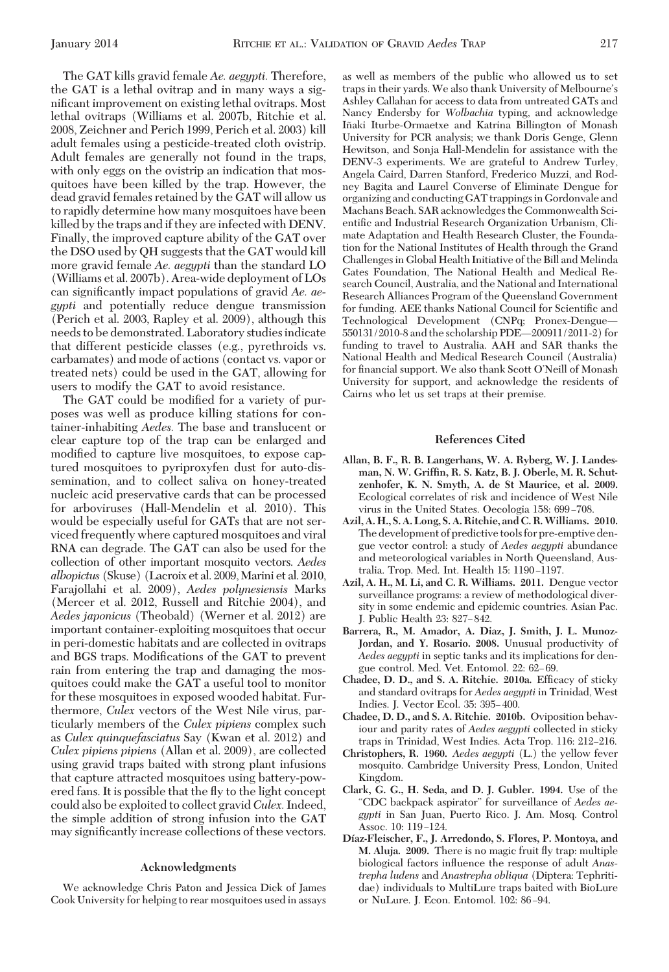The GAT kills gravid female *Ae. aegypti.* Therefore, the GAT is a lethal ovitrap and in many ways a significant improvement on existing lethal ovitraps. Most lethal ovitraps (Williams et al. 2007b, Ritchie et al. 2008, Zeichner and Perich 1999, Perich et al. 2003) kill adult females using a pesticide-treated cloth ovistrip. Adult females are generally not found in the traps, with only eggs on the ovistrip an indication that mosquitoes have been killed by the trap. However, the dead gravid females retained by the GAT will allow us to rapidly determine how many mosquitoes have been killed by the traps and if they are infected with DENV. Finally, the improved capture ability of the GAT over the DSO used by QH suggests that the GAT would kill more gravid female *Ae. aegypti* than the standard LO (Williams et al. 2007b). Area-wide deployment of LOs can significantly impact populations of gravid *Ae. aegypti* and potentially reduce dengue transmission (Perich et al. 2003, Rapley et al. 2009), although this needs to be demonstrated. Laboratory studies indicate that different pesticide classes (e.g., pyrethroids vs. carbamates) and mode of actions (contact vs. vapor or treated nets) could be used in the GAT, allowing for users to modify the GAT to avoid resistance.

The GAT could be modified for a variety of purposes was well as produce killing stations for container-inhabiting *Aedes.* The base and translucent or clear capture top of the trap can be enlarged and modified to capture live mosquitoes, to expose captured mosquitoes to pyriproxyfen dust for auto-dissemination, and to collect saliva on honey-treated nucleic acid preservative cards that can be processed for arboviruses (Hall-Mendelin et al. 2010). This would be especially useful for GATs that are not serviced frequently where captured mosquitoes and viral RNA can degrade. The GAT can also be used for the collection of other important mosquito vectors. *Aedes albopictus* (Skuse) (Lacroix et al. 2009,Marini et al. 2010, Farajollahi et al. 2009), *Aedes polynesiensis* Marks (Mercer et al. 2012, Russell and Ritchie 2004), and *Aedes japonicus* (Theobald) (Werner et al. 2012) are important container-exploiting mosquitoes that occur in peri-domestic habitats and are collected in ovitraps and BGS traps. Modifications of the GAT to prevent rain from entering the trap and damaging the mosquitoes could make the GAT a useful tool to monitor for these mosquitoes in exposed wooded habitat. Furthermore, *Culex* vectors of the West Nile virus, particularly members of the *Culex pipiens* complex such as *Culex quinquefasciatus* Say (Kwan et al. 2012) and *Culex pipiens pipiens* (Allan et al. 2009), are collected using gravid traps baited with strong plant infusions that capture attracted mosquitoes using battery-powered fans. It is possible that the ßy to the light concept could also be exploited to collect gravid*Culex.*Indeed, the simple addition of strong infusion into the GAT may significantly increase collections of these vectors.

### **Acknowledgments**

We acknowledge Chris Paton and Jessica Dick of James Cook University for helping to rear mosquitoes used in assays as well as members of the public who allowed us to set traps in their yards. We also thank University of Melbourne's Ashley Callahan for access to data from untreated GATs and Nancy Endersby for *Wolbachia* typing, and acknowledge Iñaki Iturbe-Ormaetxe and Katrina Billington of Monash University for PCR analysis; we thank Doris Genge, Glenn Hewitson, and Sonja Hall-Mendelin for assistance with the DENV-3 experiments. We are grateful to Andrew Turley, Angela Caird, Darren Stanford, Frederico Muzzi, and Rodney Bagita and Laurel Converse of Eliminate Dengue for organizing and conducting GAT trappings in Gordonvale and Machans Beach. SAR acknowledges the Commonwealth Scientific and Industrial Research Organization Urbanism, Climate Adaptation and Health Research Cluster, the Foundation for the National Institutes of Health through the Grand Challenges in Global Health Initiative of the Bill and Melinda Gates Foundation, The National Health and Medical Research Council, Australia, and the National and International Research Alliances Program of the Queensland Government for funding. AEE thanks National Council for Scientific and Technological Development (CNPq; Pronex-Dengue-550131/2010-8 and the scholarship PDE-200911/2011-2) for funding to travel to Australia. AAH and SAR thanks the National Health and Medical Research Council (Australia) for financial support. We also thank Scott O'Neill of Monash University for support, and acknowledge the residents of Cairns who let us set traps at their premise.

#### **References Cited**

- **Allan, B. F., R. B. Langerhans, W. A. Ryberg, W. J. Landesman, N. W. Griffin, R. S. Katz, B. J. Oberle, M. R. Schutzenhofer, K. N. Smyth, A. de St Maurice, et al. 2009.** Ecological correlates of risk and incidence of West Nile virus in the United States. Oecologia 158: 699-708.
- **Azil, A. H., S. A. Long, S. A. Ritchie, and C. R.Williams. 2010.** The development of predictive tools for pre-emptive dengue vector control: a study of *Aedes aegypti* abundance and meteorological variables in North Queensland, Australia. Trop. Med. Int. Health 15: 1190-1197.
- **Azil, A. H., M. Li, and C. R. Williams. 2011.** Dengue vector surveillance programs: a review of methodological diversity in some endemic and epidemic countries. Asian Pac. J. Public Health 23: 827-842.
- **Barrera, R., M. Amador, A. Diaz, J. Smith, J. L. Munoz-Jordan, and Y. Rosario. 2008.** Unusual productivity of *Aedes aegypti* in septic tanks and its implications for dengue control. Med. Vet. Entomol. 22: 62-69.
- **Chadee, D. D., and S. A. Ritchie. 2010a.** Efficacy of sticky and standard ovitraps for *Aedes aegypti* in Trinidad, West Indies. J. Vector Ecol. 35: 395-400.
- **Chadee, D. D., and S. A. Ritchie. 2010b.** Oviposition behaviour and parity rates of *Aedes aegypti* collected in sticky traps in Trinidad, West Indies. Acta Trop. 116: 212–216.
- **Christophers, R. 1960.** *Aedes aegypti* (L.) the yellow fever mosquito. Cambridge University Press, London, United Kingdom.
- **Clark, G. G., H. Seda, and D. J. Gubler. 1994.** Use of the "CDC backpack aspirator" for surveillance of *Aedes aegypti* in San Juan, Puerto Rico. J. Am. Mosq. Control Assoc. 10: 119-124.
- **Dı´az-Fleischer, F., J. Arredondo, S. Flores, P. Montoya, and M. Aluja. 2009.** There is no magic fruit ßy trap: multiple biological factors inßuence the response of adult *Anastrepha ludens* and *Anastrepha obliqua* (Diptera: Tephritidae) individuals to MultiLure traps baited with BioLure or NuLure. J. Econ. Entomol. 102: 86-94.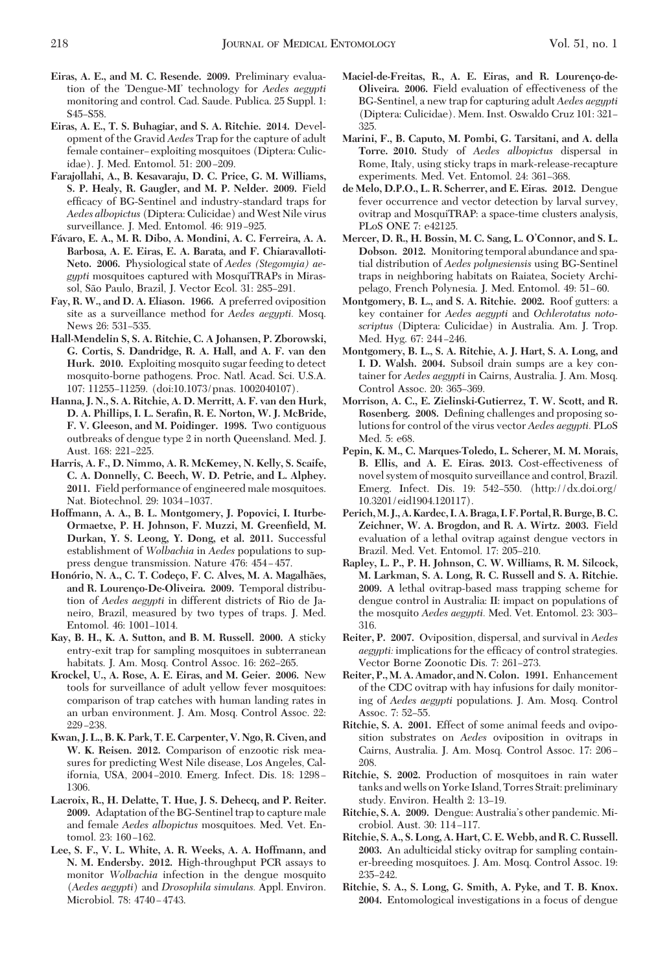- **Eiras, A. E., and M. C. Resende. 2009.** Preliminary evaluation of the 'Dengue-MI' technology for *Aedes aegypti* monitoring and control. Cad. Saude. Publica. 25 Suppl. 1: S<sub>45</sub>-S<sub>58</sub>
- **Eiras, A. E., T. S. Buhagiar, and S. A. Ritchie. 2014.** Development of the Gravid *Aedes* Trap for the capture of adult female container-exploiting mosquitoes (Diptera: Culicidae). J. Med. Entomol. 51: 200-209.
- **Farajollahi, A., B. Kesavaraju, D. C. Price, G. M. Williams, S. P. Healy, R. Gaugler, and M. P. Nelder. 2009.** Field efficacy of BG-Sentinel and industry-standard traps for *Aedes albopictus* (Diptera: Culicidae) andWest Nile virus surveillance. J. Med. Entomol. 46: 919-925.
- **Fa´varo, E. A., M. R. Dibo, A. Mondini, A. C. Ferreira, A. A. Barbosa, A. E. Eiras, E. A. Barata, and F. Chiaravalloti-Neto. 2006.** Physiological state of *Aedes (Stegomyia) aegypti* mosquitoes captured with MosquiTRAPs in Mirassol, São Paulo, Brazil, J. Vector Ecol. 31: 285-291.
- **Fay, R. W., and D. A. Eliason. 1966.** A preferred oviposition site as a surveillance method for *Aedes aegypti.* Mosq. News 26: 531-535.
- **Hall-Mendelin S, S. A. Ritchie, C. A Johansen, P. Zborowski, G. Cortis, S. Dandridge, R. A. Hall, and A. F. van den Hurk. 2010.** Exploiting mosquito sugar feeding to detect mosquito-borne pathogens. Proc. Natl. Acad. Sci. U.S.A. 107: 11255-11259. (doi:10.1073/pnas. 1002040107).
- **Hanna, J. N., S. A. Ritchie, A. D. Merritt, A. F. van den Hurk, D. A. Phillips, I. L. Serafin, R. E. Norton, W. J. McBride, F. V. Gleeson, and M. Poidinger. 1998.** Two contiguous outbreaks of dengue type 2 in north Queensland. Med. J. Aust. 168: 221-225.
- **Harris, A. F., D. Nimmo, A. R. McKemey, N. Kelly, S. Scaife, C. A. Donnelly, C. Beech, W. D. Petrie, and L. Alphey. 2011.** Field performance of engineered male mosquitoes. Nat. Biotechnol. 29: 1034-1037.
- **Hoffmann, A. A., B. L. Montgomery, J. Popovici, I. Iturbe-Ormaetxe, P. H. Johnson, F. Muzzi, M. Greenfield, M. Durkan, Y. S. Leong, Y. Dong, et al. 2011.** Successful establishment of *Wolbachia* in *Aedes* populations to suppress dengue transmission. Nature 476: 454-457.
- **Hono´rio, N. A., C. T. Codec¸o, F. C. Alves, M. A. Magalha˜es, and R. Lourenc¸o-De-Oliveira. 2009.** Temporal distribution of *Aedes aegypti* in different districts of Rio de Janeiro, Brazil, measured by two types of traps. J. Med. Entomol. 46: 1001-1014.
- **Kay, B. H., K. A. Sutton, and B. M. Russell. 2000.** A sticky entry-exit trap for sampling mosquitoes in subterranean habitats. J. Am. Mosq. Control Assoc. 16: 262–265.
- **Krockel, U., A. Rose, A. E. Eiras, and M. Geier. 2006.** New tools for surveillance of adult yellow fever mosquitoes: comparison of trap catches with human landing rates in an urban environment. J. Am. Mosq. Control Assoc. 22: 229-238.
- **Kwan, J. L., B. K. Park, T. E. Carpenter, V. Ngo, R. Civen, and W. K. Reisen. 2012.** Comparison of enzootic risk measures for predicting West Nile disease, Los Angeles, California, USA, 2004-2010. Emerg. Infect. Dis. 18: 1298-1306.
- **Lacroix, R., H. Delatte, T. Hue, J. S. Dehecq, and P. Reiter. 2009.** Adaptation of the BG-Sentinel trap to capture male and female *Aedes albopictus* mosquitoes. Med. Vet. Entomol. 23: 160-162.
- **Lee, S. F., V. L. White, A. R. Weeks, A. A. Hoffmann, and N. M. Endersby. 2012.** High-throughput PCR assays to monitor *Wolbachia* infection in the dengue mosquito (*Aedes aegypti*) and *Drosophila simulans.* Appl. Environ. Microbiol. 78: 4740-4743.
- Maciel-de-Freitas, R., A. E. Eiras, and R. Lourenço-de-**Oliveira. 2006.** Field evaluation of effectiveness of the BG-Sentinel, a new trap for capturing adult *Aedes aegypti* (Diptera: Culicidae). Mem. Inst. Oswaldo Cruz 101: 321– 325.
- **Marini, F., B. Caputo, M. Pombi, G. Tarsitani, and A. della Torre. 2010.** Study of *Aedes albopictus* dispersal in Rome, Italy, using sticky traps in mark-release-recapture experiments. Med. Vet. Entomol. 24: 361-368.
- **de Melo, D.P.O., L. R. Scherrer, and E. Eiras. 2012.** Dengue fever occurrence and vector detection by larval survey, ovitrap and MosquiTRAP: a space-time clusters analysis, PLoS ONE 7: e42125.
- **Mercer, D. R., H. Bossin, M. C. Sang, L. O'Connor, and S. L. Dobson. 2012.** Monitoring temporal abundance and spatial distribution of *Aedes polynesiensis* using BG-Sentinel traps in neighboring habitats on Raiatea, Society Archipelago, French Polynesia. J. Med. Entomol. 49: 51-60.
- **Montgomery, B. L., and S. A. Ritchie. 2002.** Roof gutters: a key container for *Aedes aegypti* and *Ochlerotatus notoscriptus* (Diptera: Culicidae) in Australia. Am. J. Trop. Med. Hyg. 67: 244-246.
- **Montgomery, B. L., S. A. Ritchie, A. J. Hart, S. A. Long, and I. D. Walsh. 2004.** Subsoil drain sumps are a key container for *Aedes aegypti* in Cairns, Australia. J. Am. Mosq. Control Assoc. 20: 365-369.
- **Morrison, A. C., E. Zielinski-Gutierrez, T. W. Scott, and R.** Rosenberg. 2008. Defining challenges and proposing solutions for control of the virus vector *Aedes aegypti.* PLoS Med. 5: e68.
- **Pepin, K. M., C. Marques-Toledo, L. Scherer, M. M. Morais, B. Ellis, and A. E. Eiras. 2013.** Cost-effectiveness of novel system of mosquito surveillance and control, Brazil. Emerg. Infect. Dis. 19:  $542-550$ . (http://dx.doi.org/ 10.3201/eid1904.120117).
- **Perich,M. J.,A. Kardec, I.A. Braga, I. F. Portal, R. Burge, B. C. Zeichner, W. A. Brogdon, and R. A. Wirtz. 2003.** Field evaluation of a lethal ovitrap against dengue vectors in Brazil. Med. Vet. Entomol. 17: 205-210.
- **Rapley, L. P., P. H. Johnson, C. W. Williams, R. M. Silcock, M. Larkman, S. A. Long, R. C. Russell and S. A. Ritchie. 2009.** A lethal ovitrap-based mass trapping scheme for dengue control in Australia: II: impact on populations of the mosquito *Aedes aegypti*. Med. Vet. Entomol. 23: 303-316.
- **Reiter, P. 2007.** Oviposition, dispersal, and survival in *Aedes aegypti:* implications for the efficacy of control strategies. Vector Borne Zoonotic Dis. 7: 261–273.
- **Reiter, P., M. A. Amador, and N. Colon. 1991.** Enhancement of the CDC ovitrap with hay infusions for daily monitoring of *Aedes aegypti* populations. J. Am. Mosq. Control Assoc. 7: 52-55.
- **Ritchie, S. A. 2001.** Effect of some animal feeds and oviposition substrates on *Aedes* oviposition in ovitraps in Cairns, Australia. J. Am. Mosq. Control Assoc. 17: 206-208.
- **Ritchie, S. 2002.** Production of mosquitoes in rain water tanks and wells on Yorke Island, Torres Strait: preliminary study. Environ. Health 2: 13-19.
- Ritchie, S. A. 2009. Dengue: Australia's other pandemic. Microbiol. Aust. 30: 114-117.
- **Ritchie, S. A., S. Long, A. Hart, C. E. Webb, and R. C. Russell. 2003.** An adulticidal sticky ovitrap for sampling container-breeding mosquitoes. J. Am. Mosq. Control Assoc. 19: 235-242.
- **Ritchie, S. A., S. Long, G. Smith, A. Pyke, and T. B. Knox. 2004.** Entomological investigations in a focus of dengue